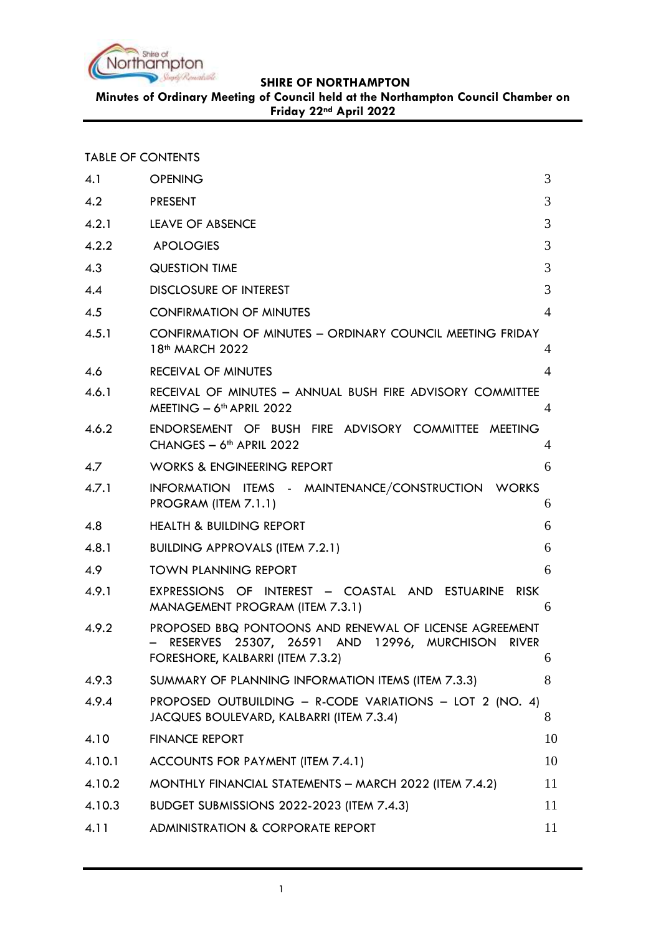

**Minutes of Ordinary Meeting of Council held at the Northampton Council Chamber on Friday 22nd April 2022**

| <b>TABLE OF CONTENTS</b> |  |  |  |
|--------------------------|--|--|--|
|--------------------------|--|--|--|

| 4.1    | <b>OPENING</b>                                                                                                                                           | 3              |
|--------|----------------------------------------------------------------------------------------------------------------------------------------------------------|----------------|
| 4.2    | <b>PRESENT</b>                                                                                                                                           | 3              |
| 4.2.1  | LEAVE OF ABSENCE                                                                                                                                         | 3              |
| 4.2.2  | <b>APOLOGIES</b>                                                                                                                                         | 3              |
| 4.3    | <b>QUESTION TIME</b>                                                                                                                                     | 3              |
| 4.4    | <b>DISCLOSURE OF INTEREST</b>                                                                                                                            | 3              |
| 4.5    | <b>CONFIRMATION OF MINUTES</b>                                                                                                                           | $\overline{4}$ |
| 4.5.1  | CONFIRMATION OF MINUTES - ORDINARY COUNCIL MEETING FRIDAY<br>18 <sup>th</sup> MARCH 2022                                                                 | 4              |
| 4.6    | <b>RECEIVAL OF MINUTES</b>                                                                                                                               | $\overline{4}$ |
| 4.6.1  | RECEIVAL OF MINUTES - ANNUAL BUSH FIRE ADVISORY COMMITTEE<br>MEETING - 6 <sup>th</sup> APRIL 2022                                                        | 4              |
| 4.6.2  | ENDORSEMENT OF BUSH FIRE ADVISORY COMMITTEE MEETING<br>CHANGES - 6 <sup>th</sup> APRIL 2022                                                              | 4              |
| 4.7    | <b>WORKS &amp; ENGINEERING REPORT</b>                                                                                                                    | 6              |
| 4.7.1  | INFORMATION ITEMS - MAINTENANCE/CONSTRUCTION WORKS<br>PROGRAM (ITEM 7.1.1)                                                                               | 6              |
| 4.8    | <b>HEALTH &amp; BUILDING REPORT</b>                                                                                                                      | 6              |
| 4.8.1  | <b>BUILDING APPROVALS (ITEM 7.2.1)</b>                                                                                                                   | 6              |
| 4.9    | <b>TOWN PLANNING REPORT</b>                                                                                                                              | 6              |
| 4.9.1  | EXPRESSIONS OF INTEREST - COASTAL AND ESTUARINE<br>RISK<br>MANAGEMENT PROGRAM (ITEM 7.3.1)                                                               | 6              |
| 4.9.2  | PROPOSED BBQ PONTOONS AND RENEWAL OF LICENSE AGREEMENT<br>RESERVES 25307, 26591 AND 12996, MURCHISON<br><b>RIVER</b><br>FORESHORE, KALBARRI (ITEM 7.3.2) | 6              |
| 4.9.3  | SUMMARY OF PLANNING INFORMATION ITEMS (ITEM 7.3.3)                                                                                                       | 8              |
| 4.9.4  | PROPOSED OUTBUILDING - R-CODE VARIATIONS - LOT 2 (NO. 4)<br>JACQUES BOULEVARD, KALBARRI (ITEM 7.3.4)                                                     | 8              |
| 4.10   | <b>FINANCE REPORT</b>                                                                                                                                    | 10             |
| 4.10.1 | ACCOUNTS FOR PAYMENT (ITEM 7.4.1)                                                                                                                        | 10             |
| 4.10.2 | MONTHLY FINANCIAL STATEMENTS - MARCH 2022 (ITEM 7.4.2)                                                                                                   | 11             |
| 4.10.3 | <b>BUDGET SUBMISSIONS 2022-2023 (ITEM 7.4.3)</b>                                                                                                         | 11             |
| 4.11   | <b>ADMINISTRATION &amp; CORPORATE REPORT</b>                                                                                                             | 11             |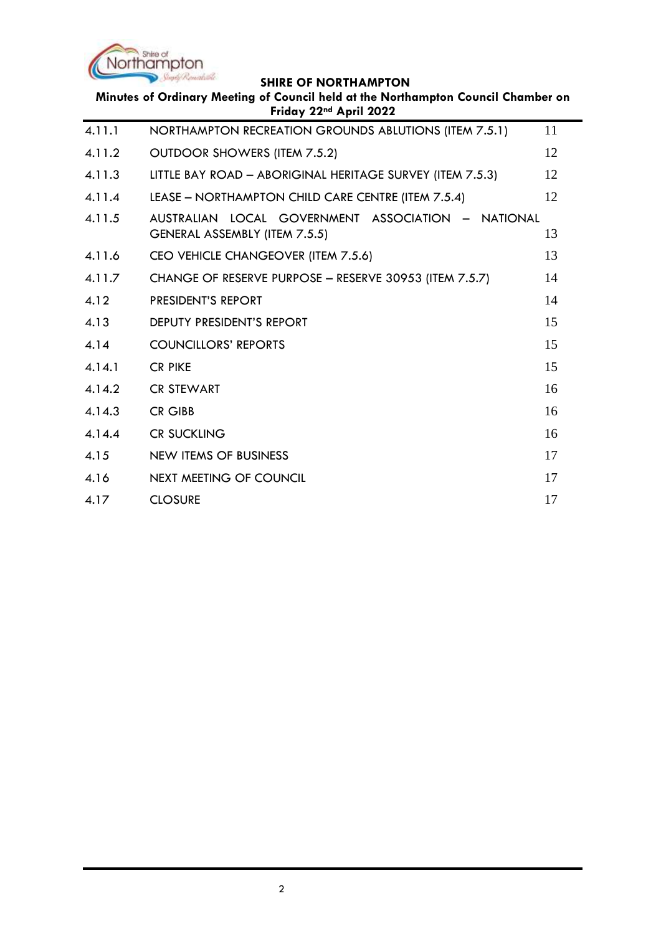

÷.

| Minutes of Ordinary Meeting of Council held at the Northampton Council Chamber on<br>Friday 22 <sup>nd</sup> April 2022 |                                                                                        |    |
|-------------------------------------------------------------------------------------------------------------------------|----------------------------------------------------------------------------------------|----|
| 4.11.1                                                                                                                  | NORTHAMPTON RECREATION GROUNDS ABLUTIONS (ITEM 7.5.1)                                  | 11 |
| 4.11.2                                                                                                                  | OUTDOOR SHOWERS (ITEM 7.5.2)                                                           | 12 |
| 4.11.3                                                                                                                  | LITTLE BAY ROAD - ABORIGINAL HERITAGE SURVEY (ITEM 7.5.3)                              | 12 |
| 4.11.4                                                                                                                  | LEASE - NORTHAMPTON CHILD CARE CENTRE (ITEM 7.5.4)                                     | 12 |
| 4.11.5                                                                                                                  | AUSTRALIAN LOCAL GOVERNMENT ASSOCIATION -<br>NATIONAL<br>GENERAL ASSEMBLY (ITEM 7.5.5) | 13 |
| 4.11.6                                                                                                                  | CEO VEHICLE CHANGEOVER (ITEM 7.5.6)                                                    | 13 |
| 4.11.7                                                                                                                  | CHANGE OF RESERVE PURPOSE - RESERVE 30953 (ITEM 7.5.7)                                 | 14 |
| 4.12                                                                                                                    | PRESIDENT'S REPORT                                                                     | 14 |
| 4.13                                                                                                                    | <b>DEPUTY PRESIDENT'S REPORT</b>                                                       | 15 |
| 4.14                                                                                                                    | <b>COUNCILLORS' REPORTS</b>                                                            | 15 |
| 4.14.1                                                                                                                  | <b>CR PIKE</b>                                                                         | 15 |
| 4.14.2                                                                                                                  | <b>CR STEWART</b>                                                                      | 16 |
| 4.14.3                                                                                                                  | <b>CR GIBB</b>                                                                         | 16 |
| 4.14.4                                                                                                                  | <b>CR SUCKLING</b>                                                                     | 16 |
| 4.15                                                                                                                    | <b>NEW ITEMS OF BUSINESS</b>                                                           | 17 |
| 4.16                                                                                                                    | NEXT MEETING OF COUNCIL                                                                | 17 |
| 4.17                                                                                                                    | <b>CLOSURE</b>                                                                         | 17 |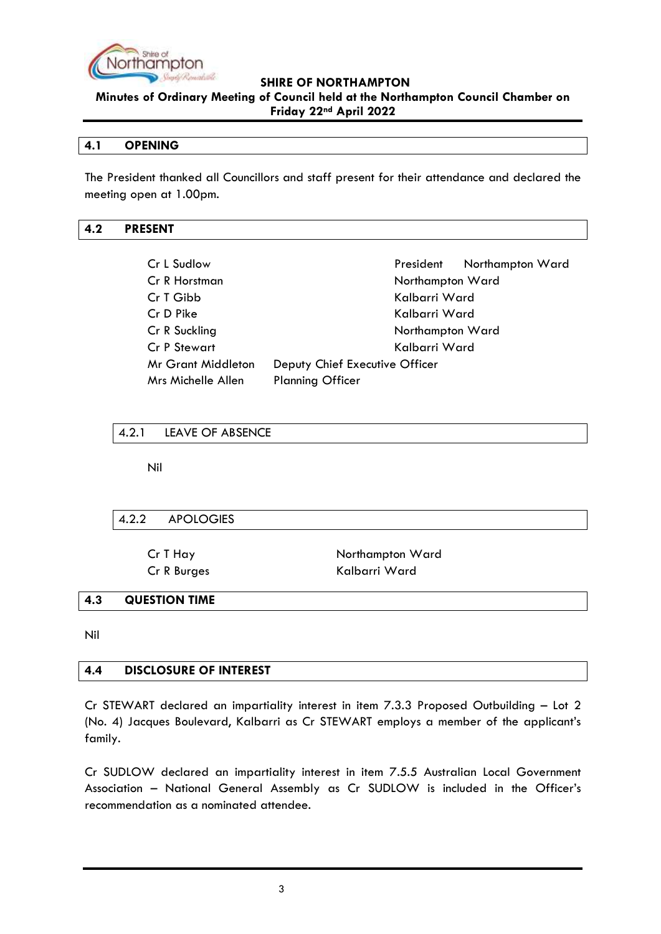

**Minutes of Ordinary Meeting of Council held at the Northampton Council Chamber on Friday 22nd April 2022**

#### <span id="page-2-0"></span>**4.1 OPENING**

The President thanked all Councillors and staff present for their attendance and declared the meeting open at 1.00pm.

## <span id="page-2-1"></span>**4.2 PRESENT**

| Cr L Sudlow               |                                | President        | Northampton Ward |
|---------------------------|--------------------------------|------------------|------------------|
| Cr R Horstman             |                                | Northampton Ward |                  |
| Cr T Gibb                 |                                | Kalbarri Ward    |                  |
| Cr D Pike                 |                                | Kalbarri Ward    |                  |
| Cr R Suckling             |                                | Northampton Ward |                  |
| Cr P Stewart              |                                | Kalbarri Ward    |                  |
| <b>Mr Grant Middleton</b> | Deputy Chief Executive Officer |                  |                  |
| Mrs Michelle Allen        | <b>Planning Officer</b>        |                  |                  |

## <span id="page-2-2"></span>4.2.1 LEAVE OF ABSENCE

Nil

## <span id="page-2-3"></span>4.2.2 APOLOGIES

Cr T Hay Northampton Ward Cr R Burges Kalbarri Ward

## <span id="page-2-4"></span>**4.3 QUESTION TIME**

Nil

## <span id="page-2-5"></span>**4.4 DISCLOSURE OF INTEREST**

Cr STEWART declared an impartiality interest in item 7.3.3 Proposed Outbuilding – Lot 2 (No. 4) Jacques Boulevard, Kalbarri as Cr STEWART employs a member of the applicant's family.

Cr SUDLOW declared an impartiality interest in item 7.5.5 Australian Local Government Association – National General Assembly as Cr SUDLOW is included in the Officer's recommendation as a nominated attendee.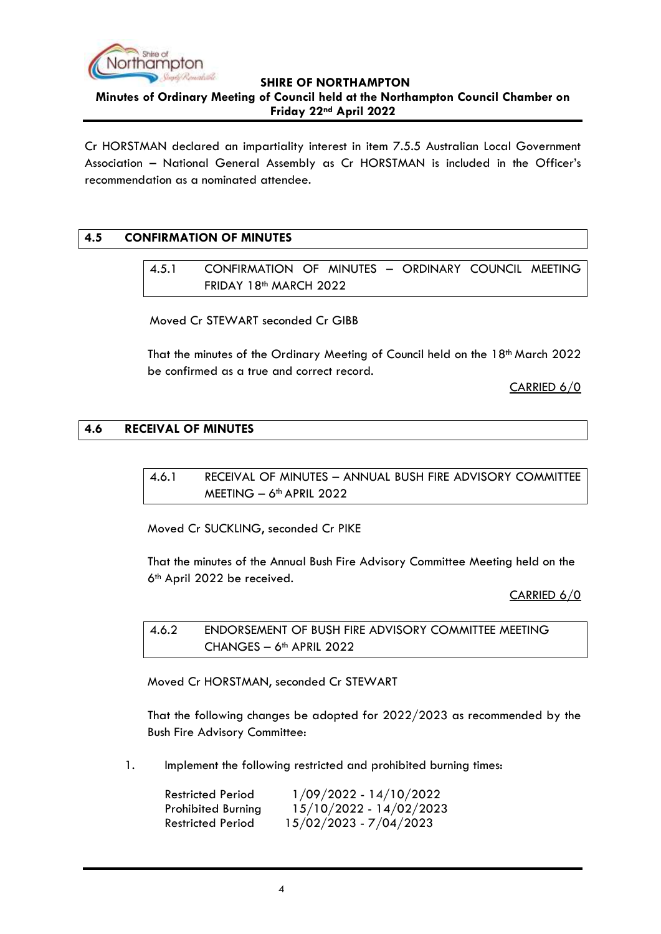

**Minutes of Ordinary Meeting of Council held at the Northampton Council Chamber on Friday 22nd April 2022**

Cr HORSTMAN declared an impartiality interest in item 7.5.5 Australian Local Government Association – National General Assembly as Cr HORSTMAN is included in the Officer's recommendation as a nominated attendee.

## <span id="page-3-1"></span><span id="page-3-0"></span>**4.5 CONFIRMATION OF MINUTES**

4.5.1 CONFIRMATION OF MINUTES – ORDINARY COUNCIL MEETING FRIDAY 18<sup>th</sup> MARCH 2022

Moved Cr STEWART seconded Cr GIBB

That the minutes of the Ordinary Meeting of Council held on the 18<sup>th</sup> March 2022 be confirmed as a true and correct record.

CARRIED 6/0

## <span id="page-3-3"></span><span id="page-3-2"></span>**4.6 RECEIVAL OF MINUTES**

4.6.1 RECEIVAL OF MINUTES – ANNUAL BUSH FIRE ADVISORY COMMITTEE  $MEETING - 6<sup>th</sup> APRIL 2022$ 

Moved Cr SUCKLING, seconded Cr PIKE

That the minutes of the Annual Bush Fire Advisory Committee Meeting held on the 6<sup>th</sup> April 2022 be received.

CARRIED 6/0

<span id="page-3-4"></span>4.6.2 ENDORSEMENT OF BUSH FIRE ADVISORY COMMITTEE MEETING CHANGES  $-6$ <sup>th</sup> APRIL 2022

Moved Cr HORSTMAN, seconded Cr STEWART

That the following changes be adopted for 2022/2023 as recommended by the Bush Fire Advisory Committee:

1. Implement the following restricted and prohibited burning times:

| <b>Restricted Period</b>  | $1/09/2022 - 14/10/2022$ |
|---------------------------|--------------------------|
| <b>Prohibited Burning</b> | 15/10/2022 - 14/02/2023  |
| <b>Restricted Period</b>  | 15/02/2023 - 7/04/2023   |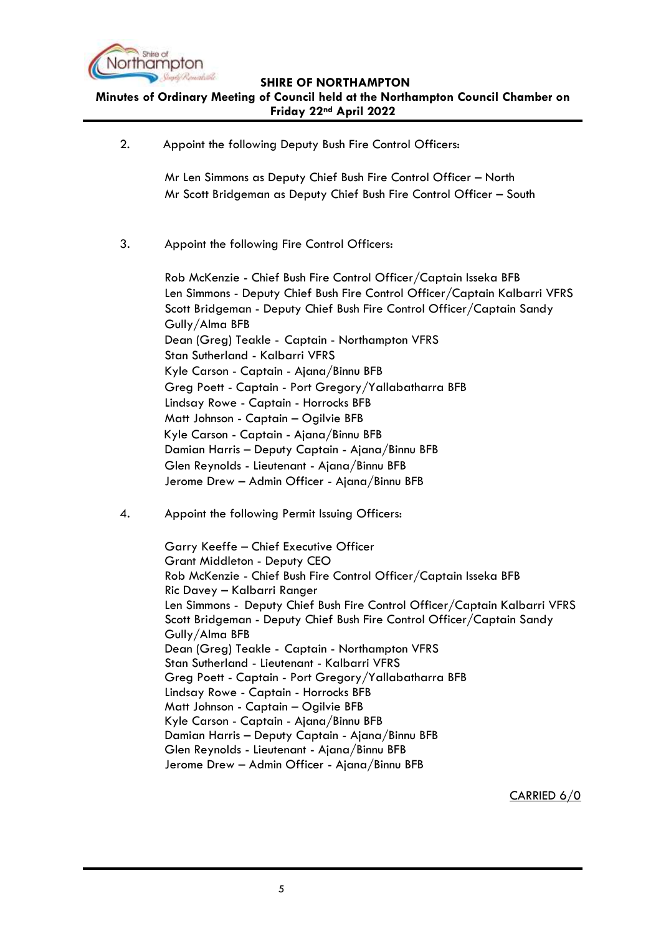

**Minutes of Ordinary Meeting of Council held at the Northampton Council Chamber on Friday 22nd April 2022**

2. Appoint the following Deputy Bush Fire Control Officers:

Mr Len Simmons as Deputy Chief Bush Fire Control Officer – North Mr Scott Bridgeman as Deputy Chief Bush Fire Control Officer – South

3. Appoint the following Fire Control Officers:

Rob McKenzie - Chief Bush Fire Control Officer/Captain Isseka BFB Len Simmons - Deputy Chief Bush Fire Control Officer/Captain Kalbarri VFRS Scott Bridgeman - Deputy Chief Bush Fire Control Officer/Captain Sandy Gully/Alma BFB Dean (Greg) Teakle - Captain - Northampton VFRS Stan Sutherland - Kalbarri VFRS Kyle Carson - Captain - Ajana/Binnu BFB Greg Poett - Captain - Port Gregory/Yallabatharra BFB Lindsay Rowe - Captain - Horrocks BFB Matt Johnson - Captain – Ogilvie BFB Kyle Carson - Captain - Ajana/Binnu BFB Damian Harris – Deputy Captain - Ajana/Binnu BFB Glen Reynolds - Lieutenant - Ajana/Binnu BFB Jerome Drew – Admin Officer - Ajana/Binnu BFB

4. Appoint the following Permit Issuing Officers:

Garry Keeffe – Chief Executive Officer Grant Middleton - Deputy CEO Rob McKenzie - Chief Bush Fire Control Officer/Captain Isseka BFB Ric Davey – Kalbarri Ranger Len Simmons - Deputy Chief Bush Fire Control Officer/Captain Kalbarri VFRS Scott Bridgeman - Deputy Chief Bush Fire Control Officer/Captain Sandy Gully/Alma BFB Dean (Greg) Teakle - Captain - Northampton VFRS Stan Sutherland - Lieutenant - Kalbarri VFRS Greg Poett - Captain - Port Gregory/Yallabatharra BFB Lindsay Rowe - Captain - Horrocks BFB Matt Johnson - Captain – Ogilvie BFB Kyle Carson - Captain - Ajana/Binnu BFB Damian Harris – Deputy Captain - Ajana/Binnu BFB Glen Reynolds - Lieutenant - Ajana/Binnu BFB Jerome Drew – Admin Officer - Ajana/Binnu BFB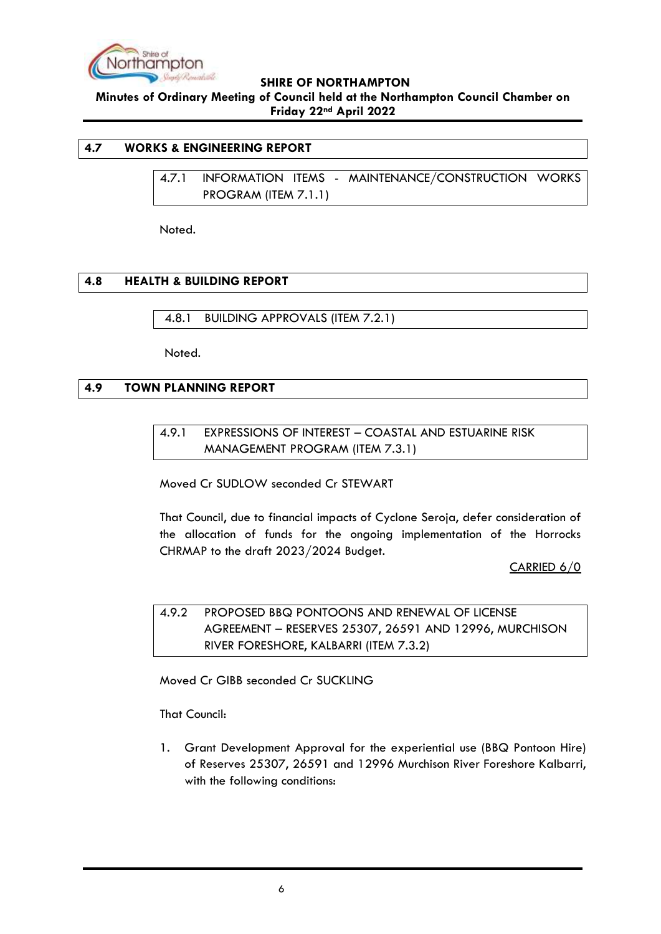

**Minutes of Ordinary Meeting of Council held at the Northampton Council Chamber on Friday 22nd April 2022**

#### <span id="page-5-1"></span><span id="page-5-0"></span>**4.7 WORKS & ENGINEERING REPORT**

4.7.1 INFORMATION ITEMS - MAINTENANCE/CONSTRUCTION WORKS PROGRAM (ITEM 7.1.1)

Noted.

## <span id="page-5-2"></span>**4.8 HEALTH & BUILDING REPORT**

<span id="page-5-3"></span>4.8.1 BUILDING APPROVALS (ITEM 7.2.1)

Noted.

## <span id="page-5-5"></span><span id="page-5-4"></span>**4.9 TOWN PLANNING REPORT**

4.9.1 EXPRESSIONS OF INTEREST – COASTAL AND ESTUARINE RISK MANAGEMENT PROGRAM (ITEM 7.3.1)

Moved Cr SUDLOW seconded Cr STEWART

That Council, due to financial impacts of Cyclone Seroja, defer consideration of the allocation of funds for the ongoing implementation of the Horrocks CHRMAP to the draft 2023/2024 Budget.

CARRIED 6/0

<span id="page-5-6"></span>4.9.2 PROPOSED BBQ PONTOONS AND RENEWAL OF LICENSE AGREEMENT – RESERVES 25307, 26591 AND 12996, MURCHISON RIVER FORESHORE, KALBARRI (ITEM 7.3.2)

Moved Cr GIBB seconded Cr SUCKLING

That Council:

1. Grant Development Approval for the experiential use (BBQ Pontoon Hire) of Reserves 25307, 26591 and 12996 Murchison River Foreshore Kalbarri, with the following conditions: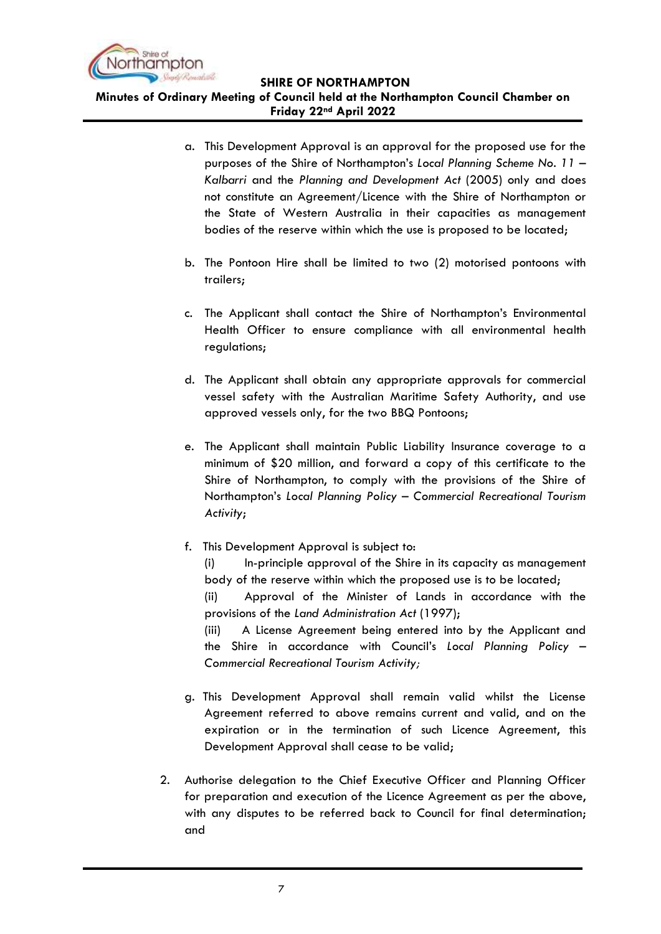

**Minutes of Ordinary Meeting of Council held at the Northampton Council Chamber on Friday 22nd April 2022**

- a. This Development Approval is an approval for the proposed use for the purposes of the Shire of Northampton's *Local Planning Scheme No. 11 – Kalbarri* and the *Planning and Development Act* (2005) only and does not constitute an Agreement/Licence with the Shire of Northampton or the State of Western Australia in their capacities as management bodies of the reserve within which the use is proposed to be located;
- b. The Pontoon Hire shall be limited to two (2) motorised pontoons with trailers;
- c. The Applicant shall contact the Shire of Northampton's Environmental Health Officer to ensure compliance with all environmental health regulations;
- d. The Applicant shall obtain any appropriate approvals for commercial vessel safety with the Australian Maritime Safety Authority, and use approved vessels only, for the two BBQ Pontoons;
- e. The Applicant shall maintain Public Liability Insurance coverage to a minimum of \$20 million, and forward a copy of this certificate to the Shire of Northampton, to comply with the provisions of the Shire of Northampton's *Local Planning Policy – Commercial Recreational Tourism Activity*;
- f. This Development Approval is subject to:

(i) In-principle approval of the Shire in its capacity as management body of the reserve within which the proposed use is to be located;

(ii) Approval of the Minister of Lands in accordance with the provisions of the *Land Administration Act* (1997);

(iii) A License Agreement being entered into by the Applicant and the Shire in accordance with Council's *Local Planning Policy – Commercial Recreational Tourism Activity;*

- g. This Development Approval shall remain valid whilst the License Agreement referred to above remains current and valid, and on the expiration or in the termination of such Licence Agreement, this Development Approval shall cease to be valid;
- 2. Authorise delegation to the Chief Executive Officer and Planning Officer for preparation and execution of the Licence Agreement as per the above, with any disputes to be referred back to Council for final determination; and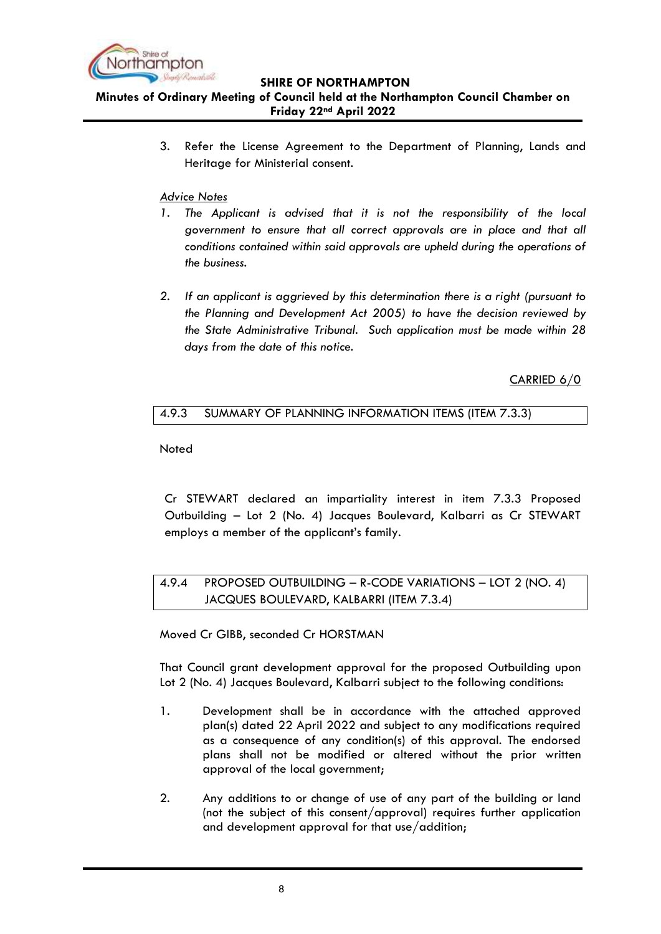

**Minutes of Ordinary Meeting of Council held at the Northampton Council Chamber on Friday 22nd April 2022**

> 3. Refer the License Agreement to the Department of Planning, Lands and Heritage for Ministerial consent.

#### *Advice Notes*

- *1. The Applicant is advised that it is not the responsibility of the local government to ensure that all correct approvals are in place and that all conditions contained within said approvals are upheld during the operations of the business.*
- *2. If an applicant is aggrieved by this determination there is a right (pursuant to the Planning and Development Act 2005) to have the decision reviewed by the State Administrative Tribunal. Such application must be made within 28 days from the date of this notice.*

CARRIED 6/0

## <span id="page-7-0"></span>4.9.3 SUMMARY OF PLANNING INFORMATION ITEMS (ITEM 7.3.3)

**Noted** 

Cr STEWART declared an impartiality interest in item 7.3.3 Proposed Outbuilding – Lot 2 (No. 4) Jacques Boulevard, Kalbarri as Cr STEWART employs a member of the applicant's family.

## <span id="page-7-1"></span>4.9.4 PROPOSED OUTBUILDING – R-CODE VARIATIONS – LOT 2 (NO. 4) JACQUES BOULEVARD, KALBARRI (ITEM 7.3.4)

Moved Cr GIBB, seconded Cr HORSTMAN

That Council grant development approval for the proposed Outbuilding upon Lot 2 (No. 4) Jacques Boulevard, Kalbarri subject to the following conditions:

- 1. Development shall be in accordance with the attached approved plan(s) dated 22 April 2022 and subject to any modifications required as a consequence of any condition(s) of this approval. The endorsed plans shall not be modified or altered without the prior written approval of the local government;
- 2. Any additions to or change of use of any part of the building or land (not the subject of this consent/approval) requires further application and development approval for that use/addition;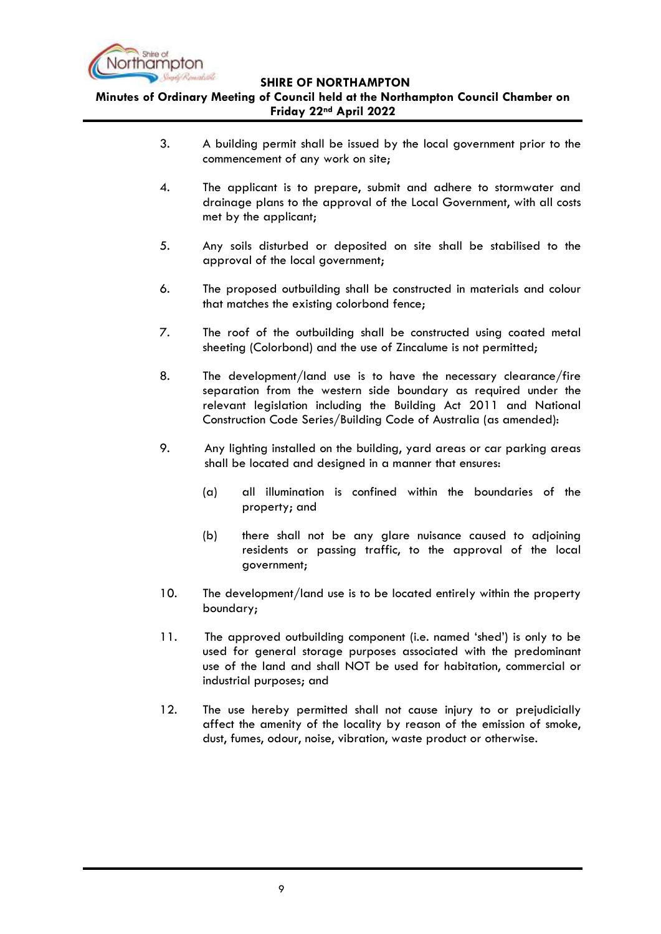

**Minutes of Ordinary Meeting of Council held at the Northampton Council Chamber on Friday 22nd April 2022**

- 3. A building permit shall be issued by the local government prior to the commencement of any work on site;
- 4. The applicant is to prepare, submit and adhere to stormwater and drainage plans to the approval of the Local Government, with all costs met by the applicant;
- 5. Any soils disturbed or deposited on site shall be stabilised to the approval of the local government;
- 6. The proposed outbuilding shall be constructed in materials and colour that matches the existing colorbond fence;
- 7. The roof of the outbuilding shall be constructed using coated metal sheeting (Colorbond) and the use of Zincalume is not permitted;
- 8. The development/land use is to have the necessary clearance/fire separation from the western side boundary as required under the relevant legislation including the Building Act 2011 and National Construction Code Series/Building Code of Australia (as amended):
- 9. Any lighting installed on the building, yard areas or car parking areas shall be located and designed in a manner that ensures:
	- (a) all illumination is confined within the boundaries of the property; and
	- (b) there shall not be any glare nuisance caused to adjoining residents or passing traffic, to the approval of the local government;
- 10. The development/land use is to be located entirely within the property boundary;
- 11. The approved outbuilding component (i.e. named 'shed') is only to be used for general storage purposes associated with the predominant use of the land and shall NOT be used for habitation, commercial or industrial purposes; and
- 12. The use hereby permitted shall not cause injury to or prejudicially affect the amenity of the locality by reason of the emission of smoke, dust, fumes, odour, noise, vibration, waste product or otherwise.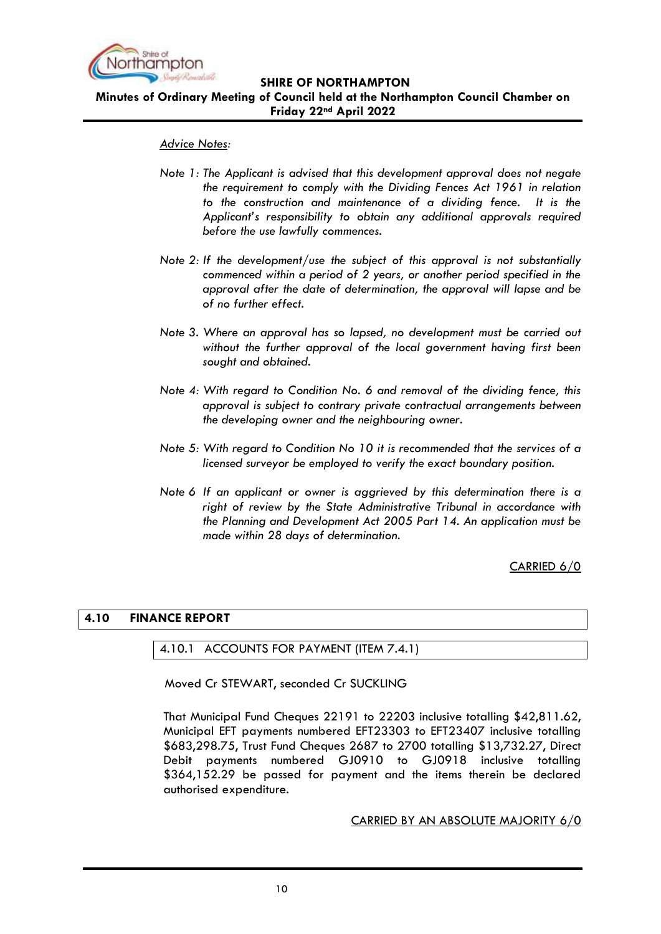

**Minutes of Ordinary Meeting of Council held at the Northampton Council Chamber on Friday 22nd April 2022**

#### *Advice Notes:*

- *Note 1: The Applicant is advised that this development approval does not negate the requirement to comply with the Dividing Fences Act 1961 in relation to the construction and maintenance of a dividing fence. It is the Applicant's responsibility to obtain any additional approvals required before the use lawfully commences.*
- *Note 2: If the development/use the subject of this approval is not substantially commenced within a period of 2 years, or another period specified in the approval after the date of determination, the approval will lapse and be of no further effect.*
- *Note 3. Where an approval has so lapsed, no development must be carried out without the further approval of the local government having first been sought and obtained.*
- *Note 4: With regard to Condition No. 6 and removal of the dividing fence, this approval is subject to contrary private contractual arrangements between the developing owner and the neighbouring owner.*
- *Note 5: With regard to Condition No 10 it is recommended that the services of a licensed surveyor be employed to verify the exact boundary position.*
- *Note 6 If an applicant or owner is aggrieved by this determination there is a right of review by the State Administrative Tribunal in accordance with the Planning and Development Act 2005 Part 14. An application must be made within 28 days of determination.*

CARRIED 6/0

## <span id="page-9-1"></span><span id="page-9-0"></span>**4.10 FINANCE REPORT**

#### 4.10.1 ACCOUNTS FOR PAYMENT (ITEM 7.4.1)

Moved Cr STEWART, seconded Cr SUCKLING

That Municipal Fund Cheques 22191 to 22203 inclusive totalling \$42,811.62, Municipal EFT payments numbered EFT23303 to EFT23407 inclusive totalling \$683,298.75, Trust Fund Cheques 2687 to 2700 totalling \$13,732.27, Direct Debit payments numbered GJ0910 to GJ0918 inclusive totalling \$364,152.29 be passed for payment and the items therein be declared authorised expenditure.

#### CARRIED BY AN ABSOLUTE MAJORITY 6/0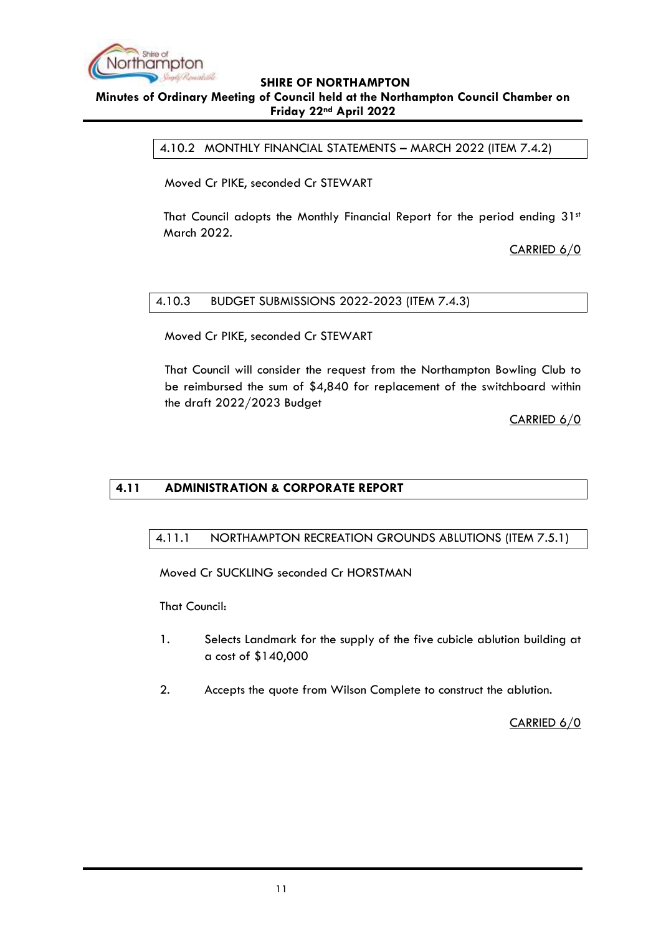

## <span id="page-10-0"></span>**Minutes of Ordinary Meeting of Council held at the Northampton Council Chamber on Friday 22nd April 2022**

4.10.2 MONTHLY FINANCIAL STATEMENTS – MARCH 2022 (ITEM 7.4.2)

Moved Cr PIKE, seconded Cr STEWART

That Council adopts the Monthly Financial Report for the period ending 31st March 2022.

CARRIED 6/0

## <span id="page-10-1"></span>4.10.3 BUDGET SUBMISSIONS 2022-2023 (ITEM 7.4.3)

Moved Cr PIKE, seconded Cr STEWART

That Council will consider the request from the Northampton Bowling Club to be reimbursed the sum of \$4,840 for replacement of the switchboard within the draft 2022/2023 Budget

CARRIED 6/0

## <span id="page-10-3"></span><span id="page-10-2"></span>**4.11 ADMINISTRATION & CORPORATE REPORT**

## 4.11.1 NORTHAMPTON RECREATION GROUNDS ABLUTIONS (ITEM 7.5.1)

Moved Cr SUCKLING seconded Cr HORSTMAN

That Council:

- 1. Selects Landmark for the supply of the five cubicle ablution building at a cost of \$140,000
- 2. Accepts the quote from Wilson Complete to construct the ablution.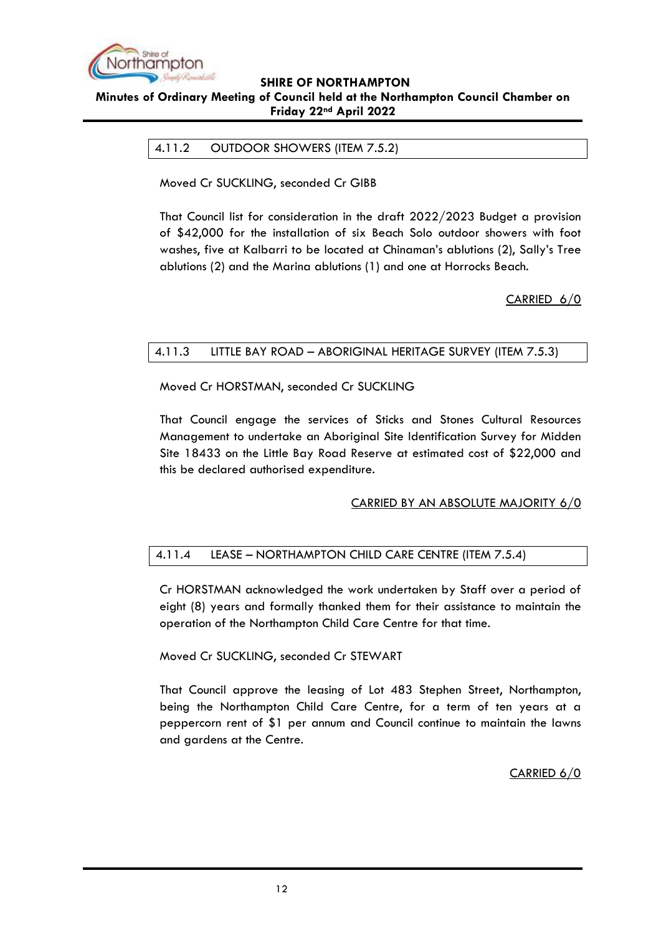

#### <span id="page-11-0"></span>**Minutes of Ordinary Meeting of Council held at the Northampton Council Chamber on Friday 22nd April 2022**

#### 4.11.2 OUTDOOR SHOWERS (ITEM 7.5.2)

Moved Cr SUCKLING, seconded Cr GIBB

That Council list for consideration in the draft 2022/2023 Budget a provision of \$42,000 for the installation of six Beach Solo outdoor showers with foot washes, five at Kalbarri to be located at Chinaman's ablutions (2), Sally's Tree ablutions (2) and the Marina ablutions (1) and one at Horrocks Beach.

CARRIED 6/0

#### <span id="page-11-1"></span>4.11.3 LITTLE BAY ROAD – ABORIGINAL HERITAGE SURVEY (ITEM 7.5.3)

Moved Cr HORSTMAN, seconded Cr SUCKLING

That Council engage the services of Sticks and Stones Cultural Resources Management to undertake an Aboriginal Site Identification Survey for Midden Site 18433 on the Little Bay Road Reserve at estimated cost of \$22,000 and this be declared authorised expenditure.

## CARRIED BY AN ABSOLUTE MAJORITY 6/0

## <span id="page-11-2"></span>4.11.4 LEASE – NORTHAMPTON CHILD CARE CENTRE (ITEM 7.5.4)

Cr HORSTMAN acknowledged the work undertaken by Staff over a period of eight (8) years and formally thanked them for their assistance to maintain the operation of the Northampton Child Care Centre for that time.

## Moved Cr SUCKLING, seconded Cr STEWART

That Council approve the leasing of Lot 483 Stephen Street, Northampton, being the Northampton Child Care Centre, for a term of ten years at a peppercorn rent of \$1 per annum and Council continue to maintain the lawns and gardens at the Centre.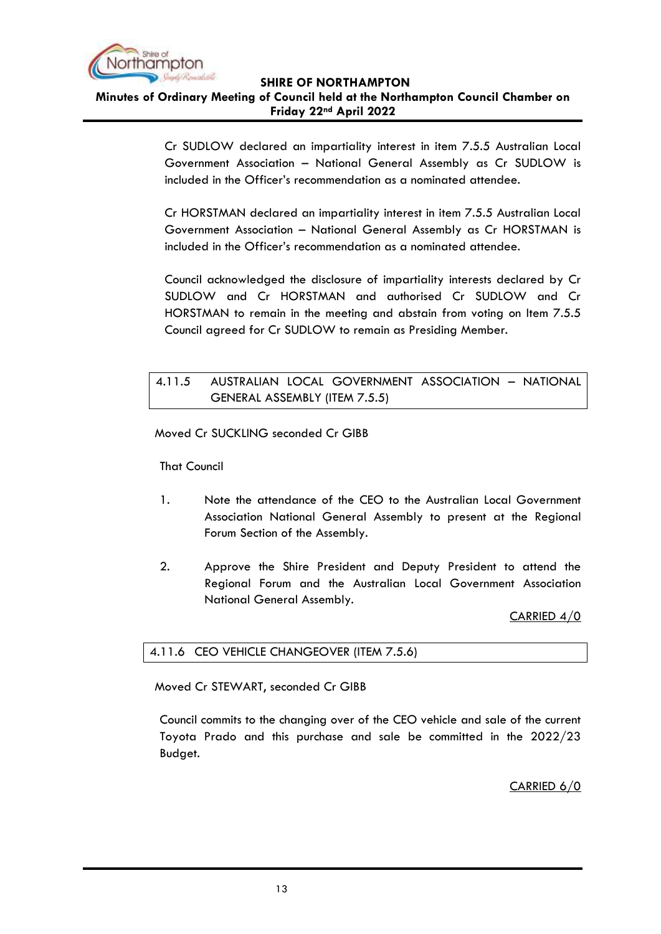

#### **Minutes of Ordinary Meeting of Council held at the Northampton Council Chamber on Friday 22nd April 2022**

Cr SUDLOW declared an impartiality interest in item 7.5.5 Australian Local Government Association – National General Assembly as Cr SUDLOW is included in the Officer's recommendation as a nominated attendee.

Cr HORSTMAN declared an impartiality interest in item 7.5.5 Australian Local Government Association – National General Assembly as Cr HORSTMAN is included in the Officer's recommendation as a nominated attendee.

Council acknowledged the disclosure of impartiality interests declared by Cr SUDLOW and Cr HORSTMAN and authorised Cr SUDLOW and Cr HORSTMAN to remain in the meeting and abstain from voting on Item 7.5.5 Council agreed for Cr SUDLOW to remain as Presiding Member.

## <span id="page-12-0"></span>4.11.5 AUSTRALIAN LOCAL GOVERNMENT ASSOCIATION – NATIONAL GENERAL ASSEMBLY (ITEM 7.5.5)

Moved Cr SUCKLING seconded Cr GIBB

That Council

- 1. Note the attendance of the CEO to the Australian Local Government Association National General Assembly to present at the Regional Forum Section of the Assembly.
- 2. Approve the Shire President and Deputy President to attend the Regional Forum and the Australian Local Government Association National General Assembly.

CARRIED 4/0

## <span id="page-12-1"></span>4.11.6 CEO VEHICLE CHANGEOVER (ITEM 7.5.6)

Moved Cr STEWART, seconded Cr GIBB

Council commits to the changing over of the CEO vehicle and sale of the current Toyota Prado and this purchase and sale be committed in the 2022/23 Budget.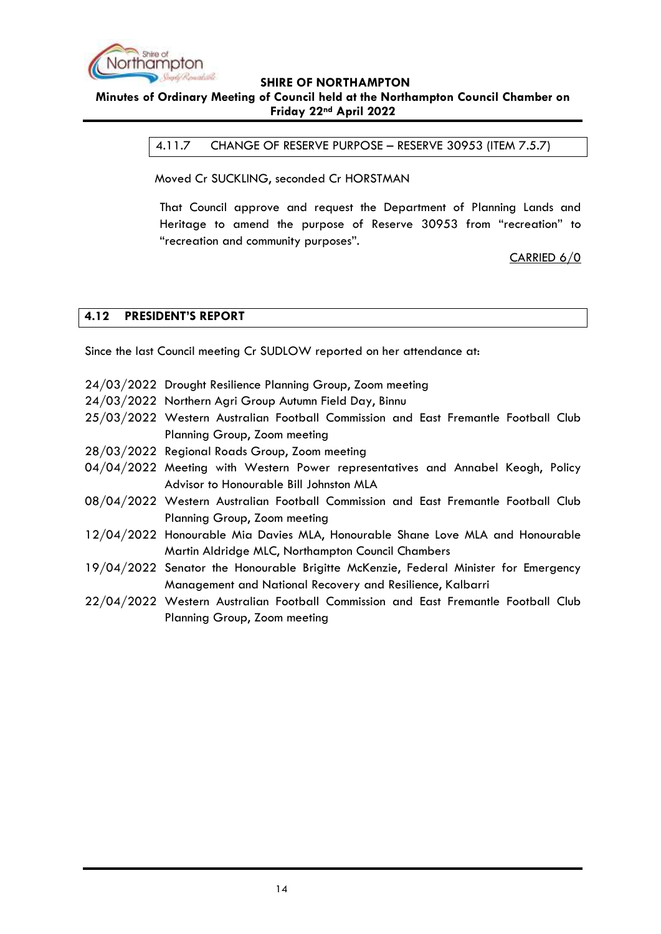

## <span id="page-13-0"></span>**SHIRE OF NORTHAMPTON Minutes of Ordinary Meeting of Council held at the Northampton Council Chamber on Friday 22nd April 2022**

4.11.7 CHANGE OF RESERVE PURPOSE – RESERVE 30953 (ITEM 7.5.7)

Moved Cr SUCKLING, seconded Cr HORSTMAN

That Council approve and request the Department of Planning Lands and Heritage to amend the purpose of Reserve 30953 from "recreation" to "recreation and community purposes".

CARRIED 6/0

#### <span id="page-13-1"></span>**4.12 PRESIDENT'S REPORT**

Since the last Council meeting Cr SUDLOW reported on her attendance at:

- 24/03/2022 Drought Resilience Planning Group, Zoom meeting
- 24/03/2022 Northern Agri Group Autumn Field Day, Binnu
- 25/03/2022 Western Australian Football Commission and East Fremantle Football Club Planning Group, Zoom meeting
- 28/03/2022 Regional Roads Group, Zoom meeting
- 04/04/2022 Meeting with Western Power representatives and Annabel Keogh, Policy Advisor to Honourable Bill Johnston MLA
- 08/04/2022 Western Australian Football Commission and East Fremantle Football Club Planning Group, Zoom meeting
- 12/04/2022 Honourable Mia Davies MLA, Honourable Shane Love MLA and Honourable Martin Aldridge MLC, Northampton Council Chambers
- 19/04/2022 Senator the Honourable Brigitte McKenzie, Federal Minister for Emergency Management and National Recovery and Resilience, Kalbarri
- 22/04/2022 Western Australian Football Commission and East Fremantle Football Club Planning Group, Zoom meeting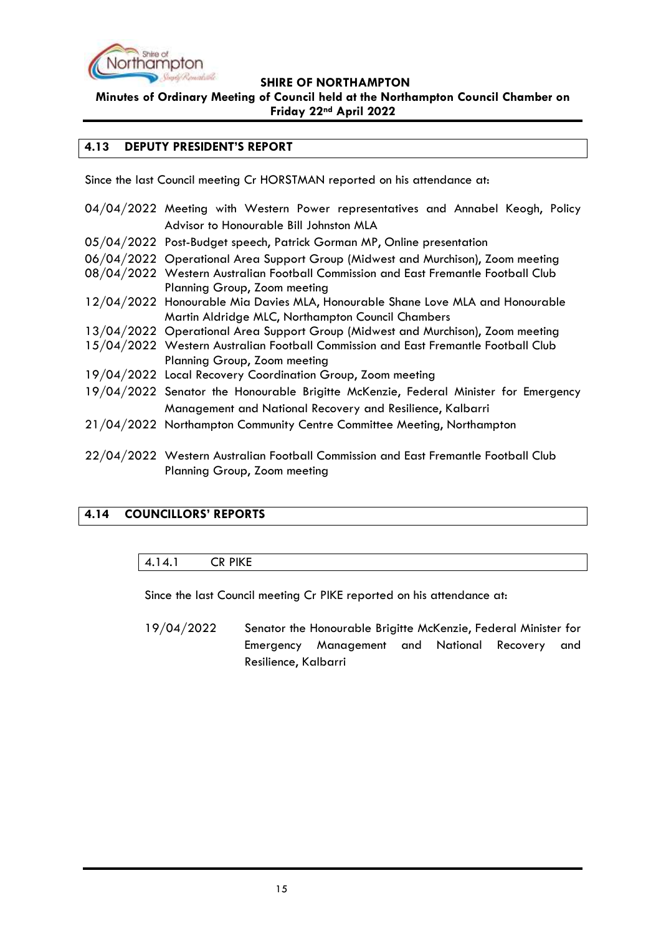

**Minutes of Ordinary Meeting of Council held at the Northampton Council Chamber on Friday 22nd April 2022**

#### <span id="page-14-0"></span>**4.13 DEPUTY PRESIDENT'S REPORT**

Since the last Council meeting Cr HORSTMAN reported on his attendance at:

| 04/04/2022 Meeting with Western Power representatives and Annabel Keogh, Policy                                    |  |
|--------------------------------------------------------------------------------------------------------------------|--|
| Advisor to Honourable Bill Johnston MLA                                                                            |  |
| 05/04/2022 Post-Budget speech, Patrick Gorman MP, Online presentation                                              |  |
| 06/04/2022 Operational Area Support Group (Midwest and Murchison), Zoom meeting                                    |  |
| 08/04/2022 Western Australian Football Commission and East Fremantle Football Club                                 |  |
| Planning Group, Zoom meeting                                                                                       |  |
| 12/04/2022 Honourable Mia Davies MLA, Honourable Shane Love MLA and Honourable                                     |  |
| Martin Aldridge MLC, Northampton Council Chambers                                                                  |  |
| 13/04/2022 Operational Area Support Group (Midwest and Murchison), Zoom meeting                                    |  |
| 15/04/2022 Western Australian Football Commission and East Fremantle Football Club                                 |  |
| Planning Group, Zoom meeting                                                                                       |  |
| 19/04/2022 Local Recovery Coordination Group, Zoom meeting                                                         |  |
| 19/04/2022 Senator the Honourable Brigitte McKenzie, Federal Minister for Emergency                                |  |
| Management and National Recovery and Resilience, Kalbarri                                                          |  |
| 21/04/2022 Northampton Community Centre Committee Meeting, Northampton                                             |  |
| 22/04/2022 Western Australian Football Commission and East Fremantle Football Club<br>Planning Group, Zoom meeting |  |

## <span id="page-14-2"></span><span id="page-14-1"></span>**4.14 COUNCILLORS' REPORTS**

#### 4.14.1 CR PIKE

Since the last Council meeting Cr PIKE reported on his attendance at:

19/04/2022 Senator the Honourable Brigitte McKenzie, Federal Minister for Emergency Management and National Recovery and Resilience, Kalbarri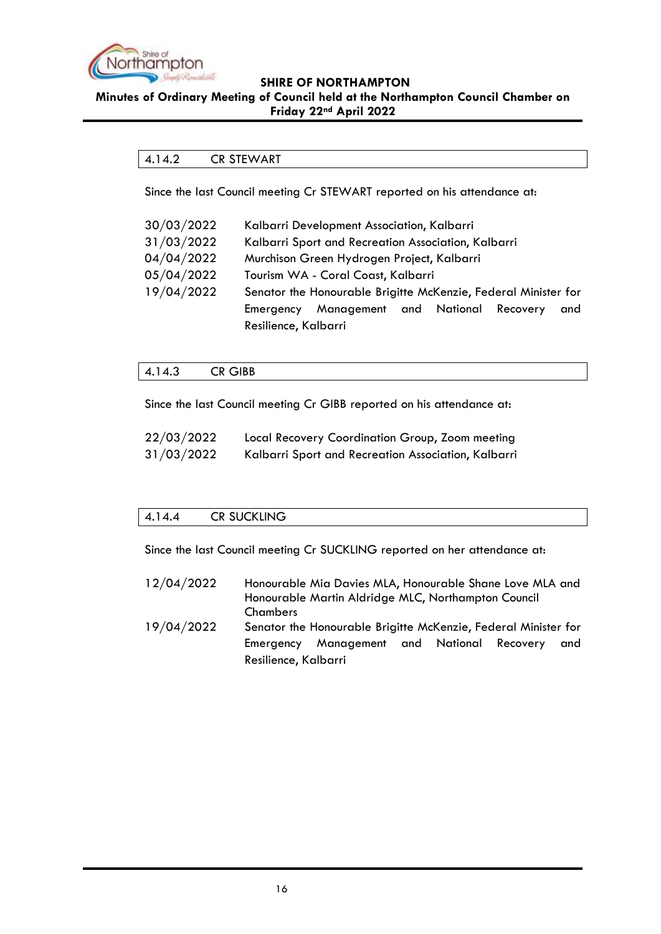

#### <span id="page-15-0"></span>**Minutes of Ordinary Meeting of Council held at the Northampton Council Chamber on Friday 22nd April 2022**

## 4.14.2 CR STEWART

Since the last Council meeting Cr STEWART reported on his attendance at:

| 30/03/2022 | Kalbarri Development Association, Kalbarri                     |  |  |
|------------|----------------------------------------------------------------|--|--|
| 31/03/2022 | Kalbarri Sport and Recreation Association, Kalbarri            |  |  |
| 04/04/2022 | Murchison Green Hydrogen Project, Kalbarri                     |  |  |
| 05/04/2022 | Tourism WA - Coral Coast, Kalbarri                             |  |  |
| 19/04/2022 | Senator the Honourable Brigitte McKenzie, Federal Minister for |  |  |
|            | Management and National Recovery<br>Emergency<br>and           |  |  |
|            | Resilience, Kalbarri                                           |  |  |

## <span id="page-15-1"></span>4.14.3 CR GIBB

Since the last Council meeting Cr GIBB reported on his attendance at:

| 22/03/2022 | Local Recovery Coordination Group, Zoom meeting     |
|------------|-----------------------------------------------------|
| 31/03/2022 | Kalbarri Sport and Recreation Association, Kalbarri |

## <span id="page-15-2"></span>4.14.4 CR SUCKLING

Since the last Council meeting Cr SUCKLING reported on her attendance at:

12/04/2022 Honourable Mia Davies MLA, Honourable Shane Love MLA and Honourable Martin Aldridge MLC, Northampton Council Chambers 19/04/2022 Senator the Honourable Brigitte McKenzie, Federal Minister for Emergency Management and National Recovery and Resilience, Kalbarri